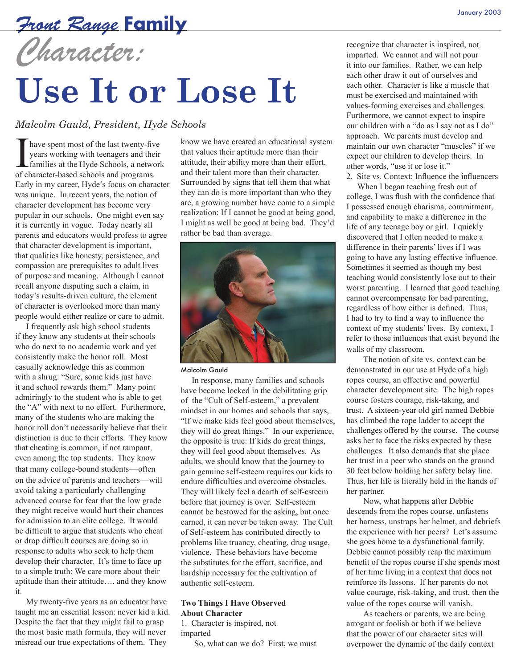### Front Range **Family** January 2003

## *Character:*

# **Use It or Lose It**

#### *Malcolm Gauld, President, Hyde Schools*

have spent most of the last twenty-five years working with teenagers and their families at the Hyde Schools, a network of character-based schools and programs. Early in my career, Hyde's focus on character was unique. In recent years, the notion of character development has become very popular in our schools. One might even say it is currently in vogue. Today nearly all parents and educators would profess to agree that character development is important, that qualities like honesty, persistence, and compassion are prerequisites to adult lives of purpose and meaning. Although I cannot recall anyone disputing such a claim, in today's results-driven culture, the element of character is overlooked more than many people would either realize or care to admit.

I frequently ask high school students if they know any students at their schools who do next to no academic work and yet consistently make the honor roll. Most casually acknowledge this as common with a shrug: "Sure, some kids just have it and school rewards them." Many point admiringly to the student who is able to get the "A" with next to no effort. Furthermore, many of the students who are making the honor roll don't necessarily believe that their distinction is due to their efforts. They know that cheating is common, if not rampant, even among the top students. They know that many college-bound students—often on the advice of parents and teachers—will avoid taking a particularly challenging advanced course for fear that the low grade they might receive would hurt their chances for admission to an elite college. It would be difficult to argue that students who cheat or drop difficult courses are doing so in response to adults who seek to help them develop their character. It's time to face up to a simple truth: We care more about their aptitude than their attitude…. and they know it.

My twenty-five years as an educator have taught me an essential lesson: never kid a kid. Despite the fact that they might fail to grasp the most basic math formula, they will never misread our true expectations of them. They

know we have created an educational system that values their aptitude more than their attitude, their ability more than their effort, and their talent more than their character. Surrounded by signs that tell them that what they can do is more important than who they are, a growing number have come to a simple realization: If I cannot be good at being good, I might as well be good at being bad. They'd rather be bad than average.



#### Malcolm Gauld

In response, many families and schools have become locked in the debilitating grip of the "Cult of Self-esteem," a prevalent mindset in our homes and schools that says, "If we make kids feel good about themselves, they will do great things." In our experience, the opposite is true: If kids do great things, they will feel good about themselves. As adults, we should know that the journey to gain genuine self-esteem requires our kids to endure difficulties and overcome obstacles. They will likely feel a dearth of self-esteem before that journey is over. Self-esteem cannot be bestowed for the asking, but once earned, it can never be taken away. The Cult of Self-esteem has contributed directly to problems like truancy, cheating, drug usage, violence. These behaviors have become the substitutes for the effort, sacrifice, and hardship necessary for the cultivation of authentic self-esteem.

#### **Two Things I Have Observed About Character**

1. Character is inspired, not imparted

So, what can we do? First, we must

recognize that character is inspired, not imparted. We cannot and will not pour it into our families. Rather, we can help each other draw it out of ourselves and each other. Character is like a muscle that must be exercised and maintained with values-forming exercises and challenges. Furthermore, we cannot expect to inspire our children with a "do as I say not as I do" approach. We parents must develop and maintain our own character "muscles" if we expect our children to develop theirs. In other words, "use it or lose it."

2. Site vs. Context: Influence the influencers When I began teaching fresh out of college, I was flush with the confidence that I possessed enough charisma, commitment, and capability to make a difference in the life of any teenage boy or girl. I quickly discovered that I often needed to make a difference in their parents' lives if I was going to have any lasting effective influence. Sometimes it seemed as though my best teaching would consistently lose out to their worst parenting. I learned that good teaching cannot overcompensate for bad parenting, regardless of how either is defined. Thus, I had to try to find a way to influence the context of my students' lives. By context, I refer to those influences that exist beyond the walls of my classroom.

The notion of site vs. context can be demonstrated in our use at Hyde of a high ropes course, an effective and powerful character development site. The high ropes course fosters courage, risk-taking, and trust. A sixteen-year old girl named Debbie has climbed the rope ladder to accept the challenges offered by the course. The course asks her to face the risks expected by these challenges. It also demands that she place her trust in a peer who stands on the ground 30 feet below holding her safety belay line. Thus, her life is literally held in the hands of her partner.

Now, what happens after Debbie descends from the ropes course, unfastens her harness, unstraps her helmet, and debriefs the experience with her peers? Let's assume she goes home to a dysfunctional family. Debbie cannot possibly reap the maximum benefit of the ropes course if she spends most of her time living in a context that does not reinforce its lessons. If her parents do not value courage, risk-taking, and trust, then the value of the ropes course will vanish.

As teachers or parents, we are being arrogant or foolish or both if we believe that the power of our character sites will overpower the dynamic of the daily context